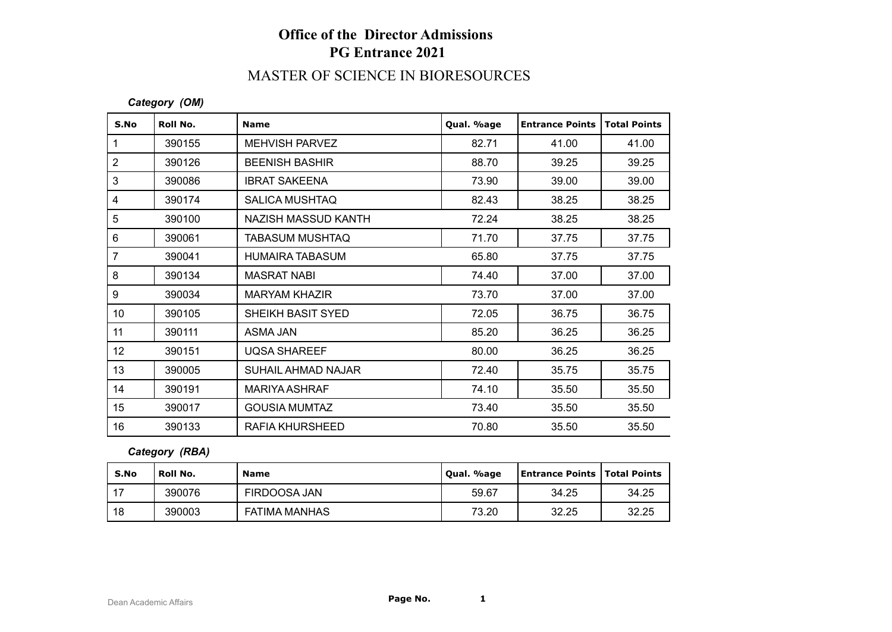## **Office of the Director Admissions PG Entrance 2021**

# MASTER OF SCIENCE IN BIORESOURCES

#### *Category (OM)*

| S.No            | Roll No. | <b>Name</b>            | Qual. %age | <b>Entrance Points</b> | <b>Total Points</b> |
|-----------------|----------|------------------------|------------|------------------------|---------------------|
| $\mathbf 1$     | 390155   | <b>MEHVISH PARVEZ</b>  | 82.71      | 41.00                  | 41.00               |
| $\overline{2}$  | 390126   | <b>BEENISH BASHIR</b>  | 88.70      | 39.25                  | 39.25               |
| 3               | 390086   | <b>IBRAT SAKEENA</b>   | 73.90      | 39.00                  | 39.00               |
| 4               | 390174   | <b>SALICA MUSHTAQ</b>  | 82.43      | 38.25                  | 38.25               |
| 5               | 390100   | NAZISH MASSUD KANTH    | 72.24      | 38.25                  | 38.25               |
| 6               | 390061   | <b>TABASUM MUSHTAQ</b> | 71.70      | 37.75                  | 37.75               |
| 7               | 390041   | <b>HUMAIRA TABASUM</b> | 65.80      | 37.75                  | 37.75               |
| 8               | 390134   | <b>MASRAT NABI</b>     | 74.40      | 37.00                  | 37.00               |
| 9               | 390034   | <b>MARYAM KHAZIR</b>   | 73.70      | 37.00                  | 37.00               |
| 10 <sup>°</sup> | 390105   | SHEIKH BASIT SYED      | 72.05      | 36.75                  | 36.75               |
| 11              | 390111   | ASMA JAN               | 85.20      | 36.25                  | 36.25               |
| 12              | 390151   | <b>UQSA SHAREEF</b>    | 80.00      | 36.25                  | 36.25               |
| 13              | 390005   | SUHAIL AHMAD NAJAR     | 72.40      | 35.75                  | 35.75               |
| 14              | 390191   | <b>MARIYA ASHRAF</b>   | 74.10      | 35.50                  | 35.50               |
| 15              | 390017   | <b>GOUSIA MUMTAZ</b>   | 73.40      | 35.50                  | 35.50               |
| 16              | 390133   | <b>RAFIA KHURSHEED</b> | 70.80      | 35.50                  | 35.50               |

### *Category (RBA)*

| S.No | Roll No. | <b>Name</b>          | Qual. %age | <b>Entrance Points   Total Points</b> |       |
|------|----------|----------------------|------------|---------------------------------------|-------|
| 17   | 390076   | FIRDOOSA JAN         | 59.67      | 34.25                                 | 34.25 |
| 18   | 390003   | <b>FATIMA MANHAS</b> | 73.20      | 32.25                                 | 32.25 |